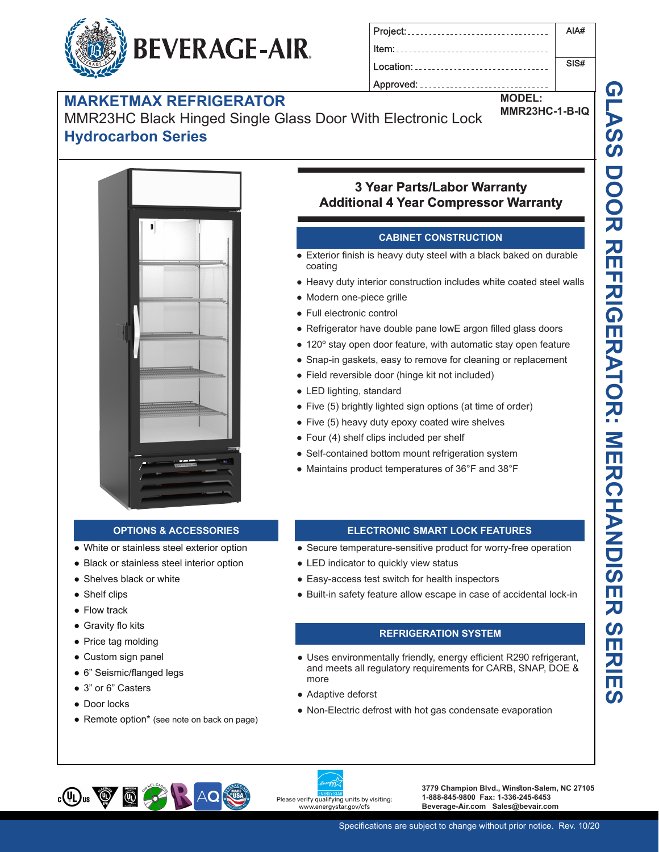#### **BEVERAGE-AIR.** Location: ......................

## **MARKETMAX REFRIGERATOR**

MMR23HC Black Hinged Single Glass Door With Electronic Lock **Hydrocarbon Series**



### **3 Year Parts/Labor Warranty Additional 4 Year Compressor Warranty**

Approved: ..................

#### **CABINET CONSTRUCTION**

- Exterior finish is heavy duty steel with a black baked on durable coating
- Heavy duty interior construction includes white coated steel walls
- Modern one-piece grille
- Full electronic control
- Refrigerator have double pane lowE argon filled glass doors
- 120° stay open door feature, with automatic stay open feature
- Snap-in gaskets, easy to remove for cleaning or replacement
- Field reversible door (hinge kit not included)
- LED lighting, standard
- Five (5) brightly lighted sign options (at time of order)
- Five (5) heavy duty epoxy coated wire shelves
- Four (4) shelf clips included per shelf
- Self-contained bottom mount refrigeration system
- Maintains product temperatures of 36°F and 38°F

#### **OPTIONS & ACCESSORIES**

- White or stainless steel exterior option
- Black or stainless steel interior option
- Shelves black or white
- Shelf clips
- Flow track
- Gravity flo kits
- Price tag molding
- Custom sign panel
- 6" Seismic/flanged legs
- 3" or 6" Casters
- Door locks
- Remote option\* (see note on back on page)

#### **ELECTRONIC SMART LOCK FEATURES**

- Secure temperature-sensitive product for worry-free operation
- LED indicator to quickly view status
- Easy-access test switch for health inspectors
- Built-in safety feature allow escape in case of accidental lock-in

#### **REFRIGERATION SYSTEM**

- Uses environmentally friendly, energy efficient R290 refrigerant, and meets all regulatory requirements for CARB, SNAP, DOE & more
- Adaptive deforst
- Non-Electric defrost with hot gas condensate evaporation







**3779 Champion Blvd., Winston-Salem, NC 27105 1-888-845-9800 Fax: 1-336-245-6453 Beverage-Air.com Sales@bevair.com**

SIS#

**MODEL:**

**MMR23HC-1-B-IQ**